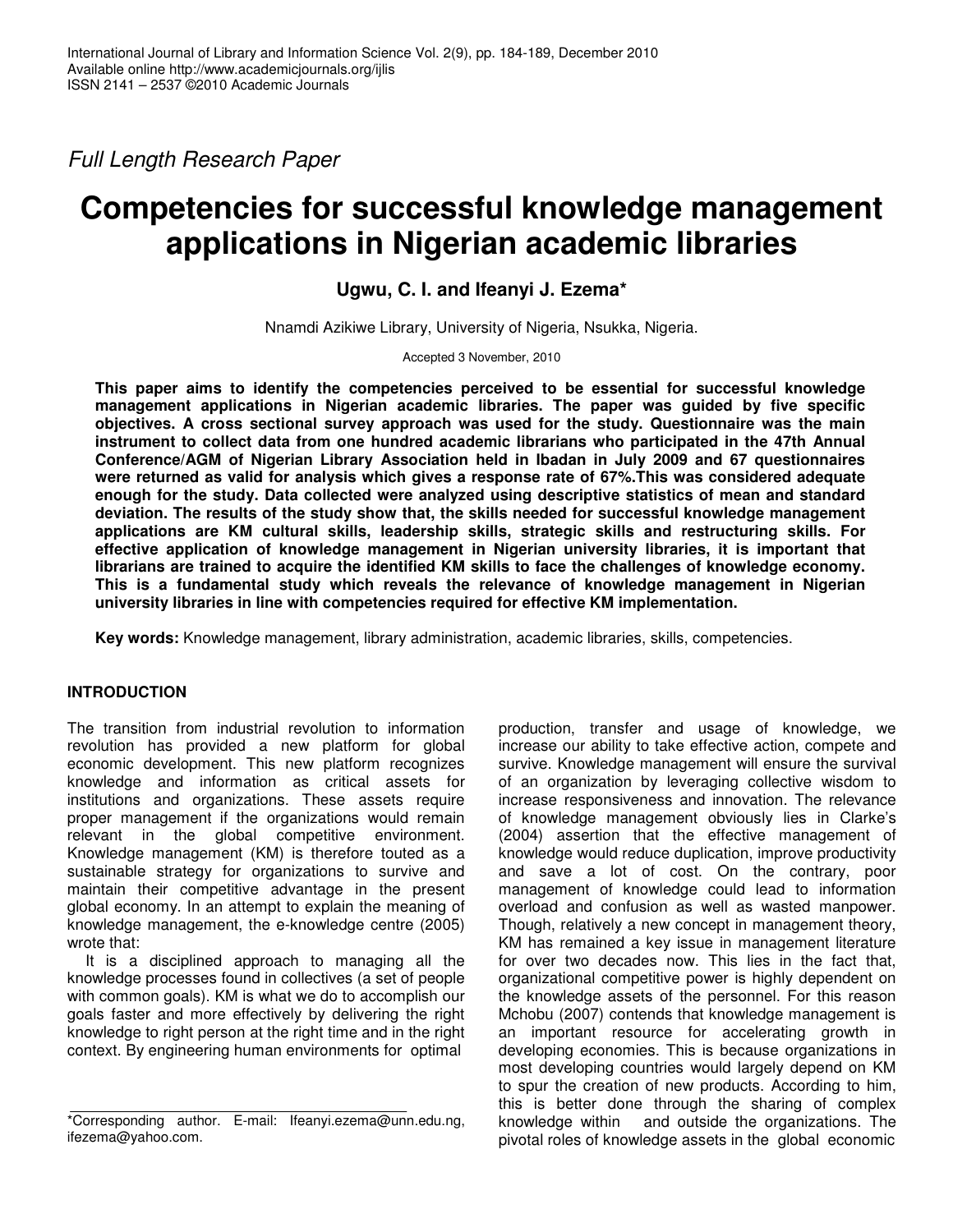*Full Length Research Paper*

# **Competencies for successful knowledge management applications in Nigerian academic libraries**

**Ugwu, C. I. and Ifeanyi J. Ezema\***

Nnamdi Azikiwe Library, University of Nigeria, Nsukka, Nigeria.

Accepted 3 November, 2010

**This paper aims to identify the competencies perceived to be essential for successful knowledge management applications in Nigerian academic libraries. The paper was guided by five specific objectives. A cross sectional survey approach was used for the study. Questionnaire was the main instrument to collect data from one hundred academic librarians who participated in the 47th Annual Conference/AGM of Nigerian Library Association held in Ibadan in July 2009 and 67 questionnaires were returned as valid for analysis which gives a response rate of 67%.This was considered adequate enough for the study. Data collected were analyzed using descriptive statistics of mean and standard deviation. The results of the study show that, the skills needed for successful knowledge management applications are KM cultural skills, leadership skills, strategic skills and restructuring skills. For effective application of knowledge management in Nigerian university libraries, it is important that librarians are trained to acquire the identified KM skills to face the challenges of knowledge economy. This is a fundamental study which reveals the relevance of knowledge management in Nigerian university libraries in line with competencies required for effective KM implementation.**

**Key words:** Knowledge management, library administration, academic libraries, skills, competencies.

# **INTRODUCTION**

The transition from industrial revolution to information revolution has provided a new platform for global economic development. This new platform recognizes knowledge and information as critical assets for institutions and organizations. These assets require proper management if the organizations would remain relevant in the global competitive environment. Knowledge management (KM) is therefore touted as a sustainable strategy for organizations to survive and maintain their competitive advantage in the present global economy. In an attempt to explain the meaning of knowledge management, the e-knowledge centre (2005) wrote that:

It is a disciplined approach to managing all the knowledge processes found in collectives (a set of people with common goals). KM is what we do to accomplish our goals faster and more effectively by delivering the right knowledge to right person at the right time and in the right context. By engineering human environments for optimal

production, transfer and usage of knowledge, we increase our ability to take effective action, compete and survive. Knowledge management will ensure the survival of an organization by leveraging collective wisdom to increase responsiveness and innovation. The relevance of knowledge management obviously lies in Clarke's (2004) assertion that the effective management of knowledge would reduce duplication, improve productivity and save a lot of cost. On the contrary, poor management of knowledge could lead to information overload and confusion as well as wasted manpower. Though, relatively a new concept in management theory, KM has remained a key issue in management literature for over two decades now. This lies in the fact that, organizational competitive power is highly dependent on the knowledge assets of the personnel. For this reason Mchobu (2007) contends that knowledge management is an important resource for accelerating growth in developing economies. This is because organizations in most developing countries would largely depend on KM to spur the creation of new products. According to him, this is better done through the sharing of complex knowledge within and outside the organizations. The pivotal roles of knowledge assets in the global economic

<sup>\*</sup>Corresponding author. E-mail: Ifeanyi.ezema@unn.edu.ng, ifezema@yahoo.com.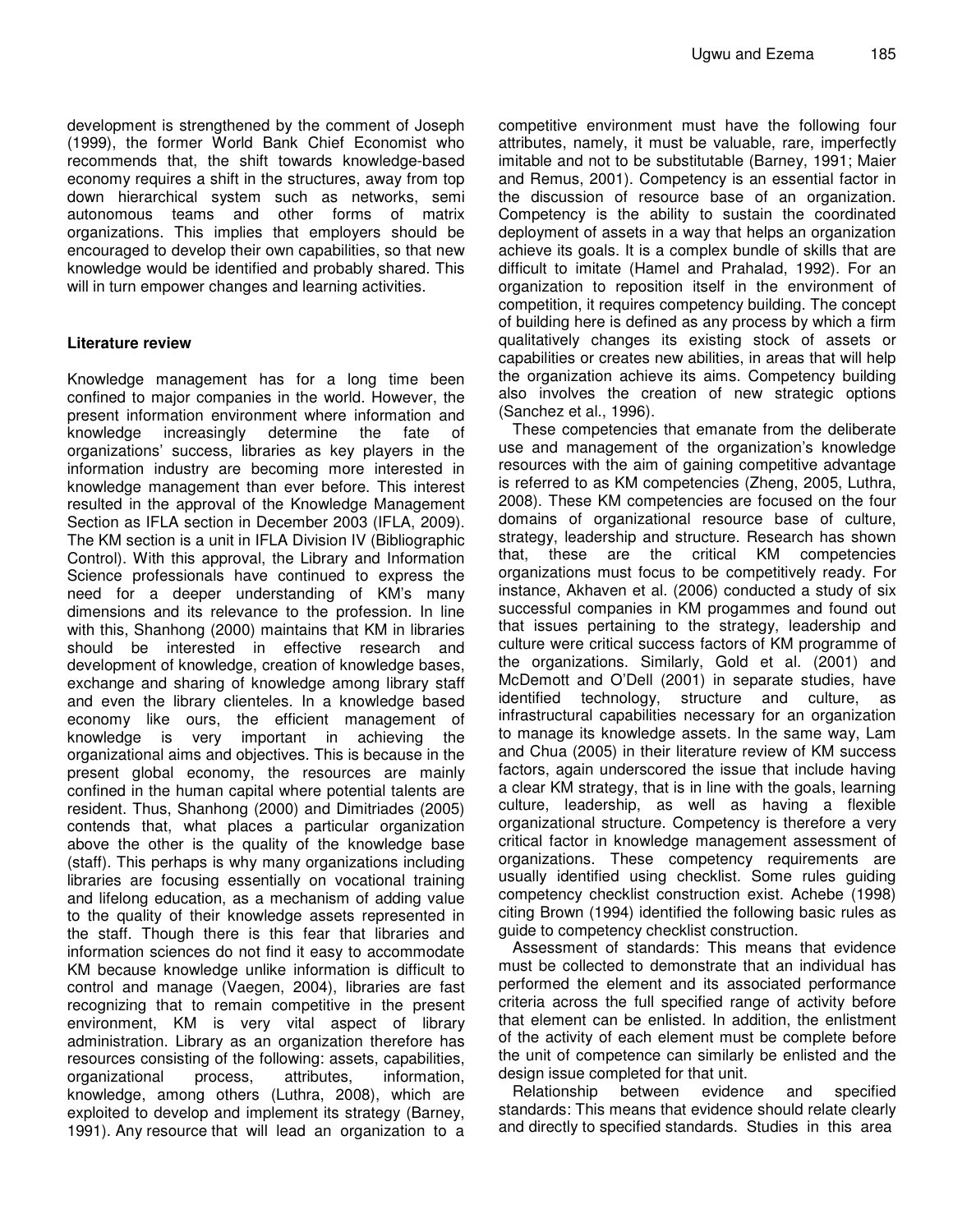development is strengthened by the comment of Joseph (1999), the former World Bank Chief Economist who recommends that, the shift towards knowledge-based economy requires a shift in the structures, away from top down hierarchical system such as networks, semi autonomous teams and other forms of matrix organizations. This implies that employers should be encouraged to develop their own capabilities, so that new knowledge would be identified and probably shared. This will in turn empower changes and learning activities.

#### **Literature review**

Knowledge management has for a long time been confined to major companies in the world. However, the present information environment where information and knowledge increasingly determine the fate of organizations' success, libraries as key players in the information industry are becoming more interested in knowledge management than ever before. This interest resulted in the approval of the Knowledge Management Section as IFLA section in December 2003 (IFLA, 2009). The KM section is a unit in IFLA Division IV (Bibliographic Control). With this approval, the Library and Information Science professionals have continued to express the need for a deeper understanding of KM's many dimensions and its relevance to the profession. In line with this, Shanhong (2000) maintains that KM in libraries should be interested in effective research and development of knowledge, creation of knowledge bases, exchange and sharing of knowledge among library staff and even the library clienteles. In a knowledge based economy like ours, the efficient management of knowledge is very important in achieving the organizational aims and objectives. This is because in the present global economy, the resources are mainly confined in the human capital where potential talents are resident. Thus, Shanhong (2000) and Dimitriades (2005) contends that, what places a particular organization above the other is the quality of the knowledge base (staff). This perhaps is why many organizations including libraries are focusing essentially on vocational training and lifelong education, as a mechanism of adding value to the quality of their knowledge assets represented in the staff. Though there is this fear that libraries and information sciences do not find it easy to accommodate KM because knowledge unlike information is difficult to control and manage (Vaegen, 2004), libraries are fast recognizing that to remain competitive in the present environment, KM is very vital aspect of library administration. Library as an organization therefore has resources consisting of the following: assets, capabilities, organizational process, attributes, information, knowledge, among others (Luthra, 2008), which are exploited to develop and implement its strategy (Barney, 1991). Any resource that will lead an organization to a

competitive environment must have the following four attributes, namely, it must be valuable, rare, imperfectly imitable and not to be substitutable (Barney, 1991; Maier and Remus, 2001). Competency is an essential factor in the discussion of resource base of an organization. Competency is the ability to sustain the coordinated deployment of assets in a way that helps an organization achieve its goals. It is a complex bundle of skills that are difficult to imitate (Hamel and Prahalad, 1992). For an organization to reposition itself in the environment of competition, it requires competency building. The concept of building here is defined as any process by which a firm qualitatively changes its existing stock of assets or capabilities or creates new abilities, in areas that will help the organization achieve its aims. Competency building also involves the creation of new strategic options (Sanchez et al., 1996).

These competencies that emanate from the deliberate use and management of the organization's knowledge resources with the aim of gaining competitive advantage is referred to as KM competencies (Zheng, 2005, Luthra, 2008). These KM competencies are focused on the four domains of organizational resource base of culture, strategy, leadership and structure. Research has shown that, these are the critical KM competencies organizations must focus to be competitively ready. For instance, Akhaven et al. (2006) conducted a study of six successful companies in KM progammes and found out that issues pertaining to the strategy, leadership and culture were critical success factors of KM programme of the organizations. Similarly, Gold et al. (2001) and McDemott and O'Dell (2001) in separate studies, have identified technology, structure and culture, as infrastructural capabilities necessary for an organization to manage its knowledge assets. In the same way, Lam and Chua (2005) in their literature review of KM success factors, again underscored the issue that include having a clear KM strategy, that is in line with the goals, learning culture, leadership, as well as having a flexible organizational structure. Competency is therefore a very critical factor in knowledge management assessment of organizations. These competency requirements are usually identified using checklist. Some rules guiding competency checklist construction exist. Achebe (1998) citing Brown (1994) identified the following basic rules as guide to competency checklist construction.

Assessment of standards: This means that evidence must be collected to demonstrate that an individual has performed the element and its associated performance criteria across the full specified range of activity before that element can be enlisted. In addition, the enlistment of the activity of each element must be complete before the unit of competence can similarly be enlisted and the design issue completed for that unit.

Relationship between evidence and specified standards: This means that evidence should relate clearly and directly to specified standards. Studies in this area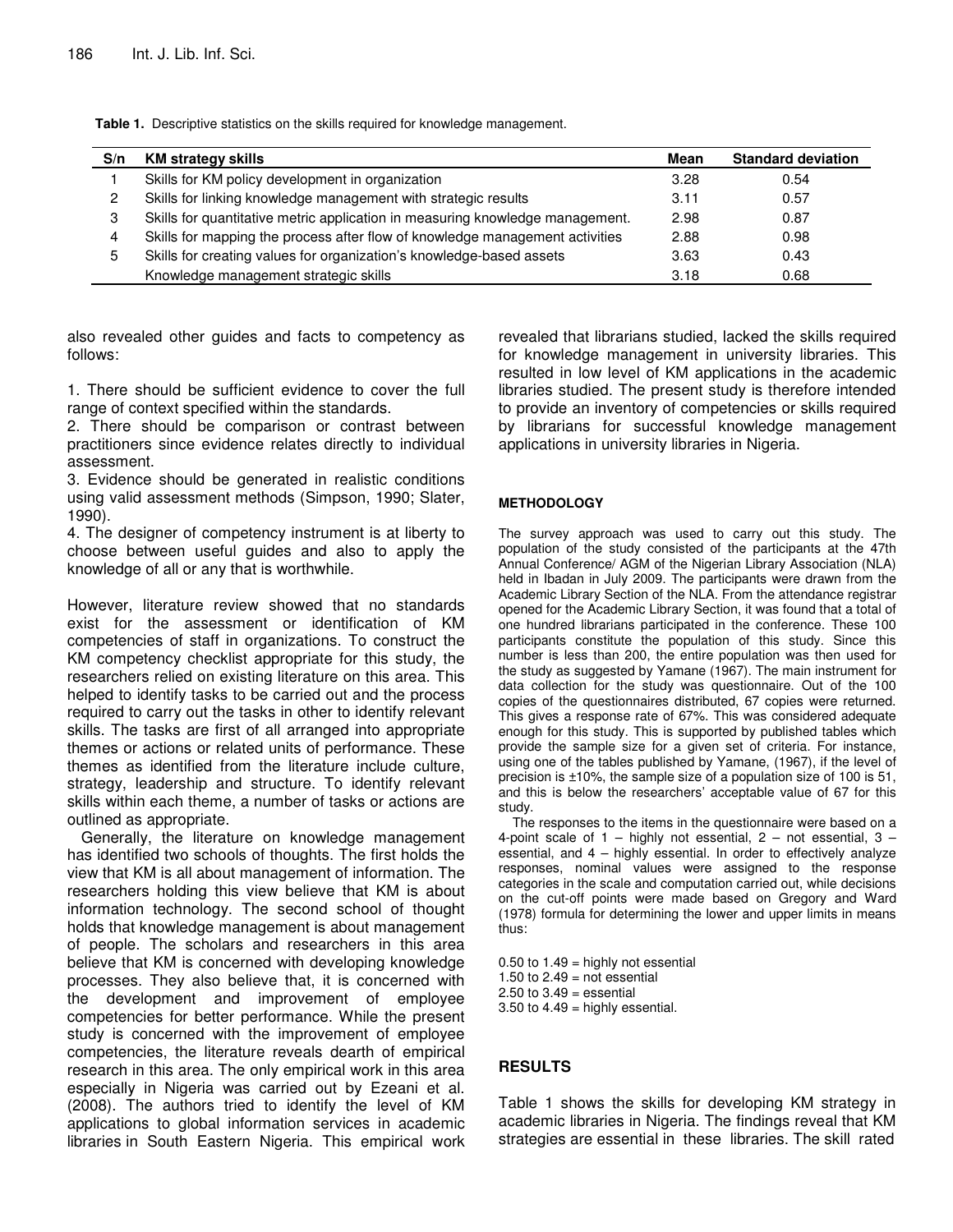| S/n | <b>KM strategy skills</b>                                                     | Mean | <b>Standard deviation</b> |
|-----|-------------------------------------------------------------------------------|------|---------------------------|
|     | Skills for KM policy development in organization                              | 3.28 | 0.54                      |
| 2   | Skills for linking knowledge management with strategic results                | 3.11 | 0.57                      |
| 3   | Skills for quantitative metric application in measuring knowledge management. | 2.98 | 0.87                      |
| 4   | Skills for mapping the process after flow of knowledge management activities  | 2.88 | 0.98                      |
| 5.  | Skills for creating values for organization's knowledge-based assets          | 3.63 | 0.43                      |
|     | Knowledge management strategic skills                                         | 3.18 | 0.68                      |

**Table 1.** Descriptive statistics on the skills required for knowledge management.

also revealed other guides and facts to competency as follows:

1. There should be sufficient evidence to cover the full range of context specified within the standards.

2. There should be comparison or contrast between practitioners since evidence relates directly to individual assessment.

3. Evidence should be generated in realistic conditions using valid assessment methods (Simpson, 1990; Slater, 1990).

4. The designer of competency instrument is at liberty to choose between useful guides and also to apply the knowledge of all or any that is worthwhile.

However, literature review showed that no standards exist for the assessment or identification of KM competencies of staff in organizations. To construct the KM competency checklist appropriate for this study, the researchers relied on existing literature on this area. This helped to identify tasks to be carried out and the process required to carry out the tasks in other to identify relevant skills. The tasks are first of all arranged into appropriate themes or actions or related units of performance. These themes as identified from the literature include culture, strategy, leadership and structure. To identify relevant skills within each theme, a number of tasks or actions are outlined as appropriate.

Generally, the literature on knowledge management has identified two schools of thoughts. The first holds the view that KM is all about management of information. The researchers holding this view believe that KM is about information technology. The second school of thought holds that knowledge management is about management of people. The scholars and researchers in this area believe that KM is concerned with developing knowledge processes. They also believe that, it is concerned with the development and improvement of employee competencies for better performance. While the present study is concerned with the improvement of employee competencies, the literature reveals dearth of empirical research in this area. The only empirical work in this area especially in Nigeria was carried out by Ezeani et al. (2008). The authors tried to identify the level of KM applications to global information services in academic libraries in South Eastern Nigeria. This empirical work revealed that librarians studied, lacked the skills required for knowledge management in university libraries. This resulted in low level of KM applications in the academic libraries studied. The present study is therefore intended to provide an inventory of competencies or skills required by librarians for successful knowledge management applications in university libraries in Nigeria.

#### **METHODOLOGY**

The survey approach was used to carry out this study. The population of the study consisted of the participants at the 47th Annual Conference/ AGM of the Nigerian Library Association (NLA) held in Ibadan in July 2009. The participants were drawn from the Academic Library Section of the NLA. From the attendance registrar opened for the Academic Library Section, it was found that a total of one hundred librarians participated in the conference. These 100 participants constitute the population of this study. Since this number is less than 200, the entire population was then used for the study as suggested by Yamane (1967). The main instrument for data collection for the study was questionnaire. Out of the 100 copies of the questionnaires distributed, 67 copies were returned. This gives a response rate of 67%. This was considered adequate enough for this study. This is supported by published tables which provide the sample size for a given set of criteria. For instance, using one of the tables published by Yamane, (1967), if the level of precision is ±10%, the sample size of a population size of 100 is 51, and this is below the researchers' acceptable value of 67 for this study.

The responses to the items in the questionnaire were based on a 4-point scale of  $1 -$  highly not essential,  $2 -$  not essential,  $3$ essential, and 4 – highly essential. In order to effectively analyze responses, nominal values were assigned to the response categories in the scale and computation carried out, while decisions on the cut-off points were made based on Gregory and Ward (1978) formula for determining the lower and upper limits in means thus:

 $0.50$  to  $1.49$  = highly not essential 1.50 to  $2.49$  = not essential  $2.50$  to  $3.49$  = essential  $3.50$  to  $4.49$  = highly essential.

### **RESULTS**

Table 1 shows the skills for developing KM strategy in academic libraries in Nigeria. The findings reveal that KM strategies are essential in these libraries. The skill rated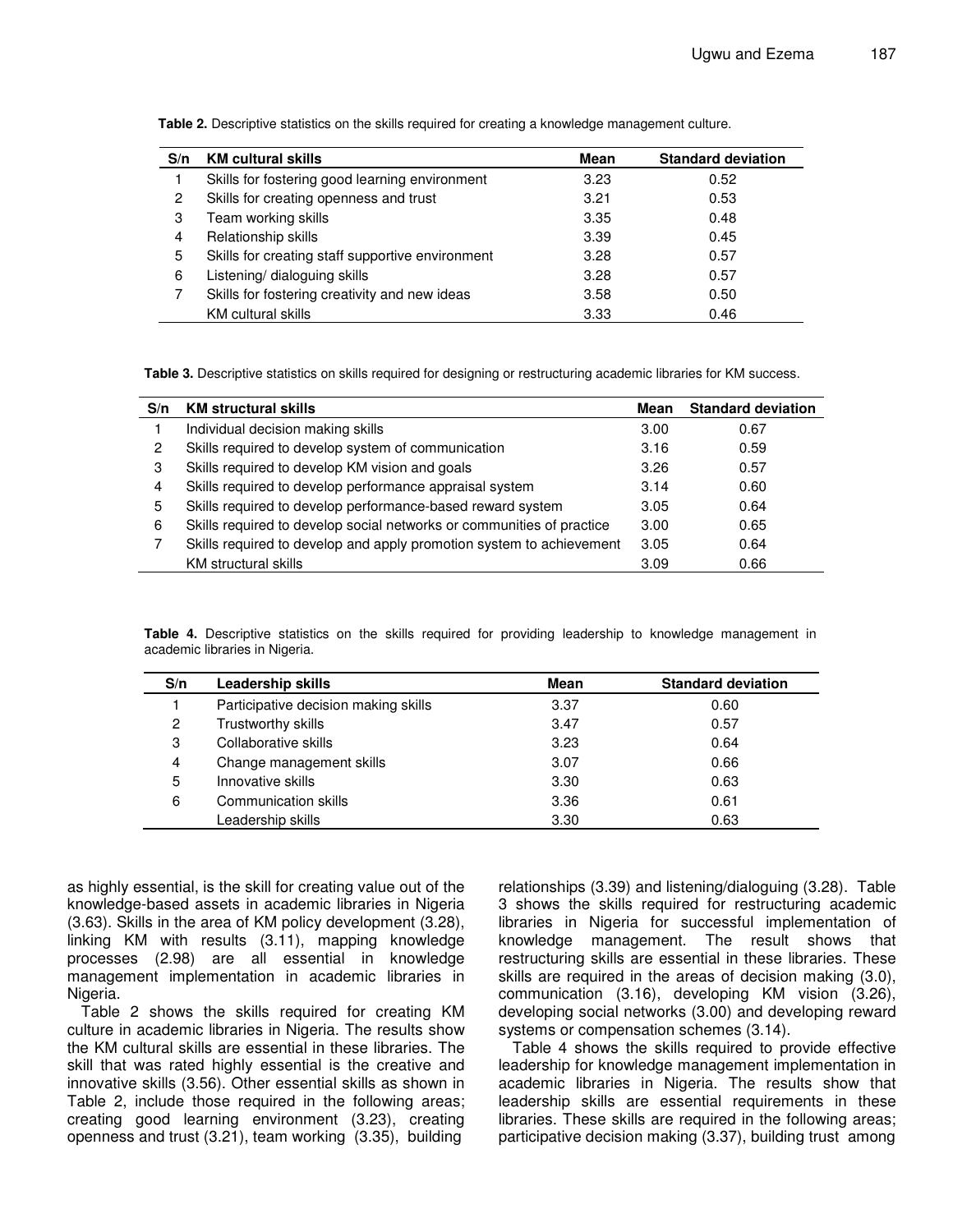| S/n | <b>KM cultural skills</b>                        | Mean | <b>Standard deviation</b> |
|-----|--------------------------------------------------|------|---------------------------|
|     | Skills for fostering good learning environment   | 3.23 | 0.52                      |
| 2   | Skills for creating openness and trust           | 3.21 | 0.53                      |
| 3   | Team working skills                              | 3.35 | 0.48                      |
| 4   | Relationship skills                              | 3.39 | 0.45                      |
| 5   | Skills for creating staff supportive environment | 3.28 | 0.57                      |
| 6   | Listening/ dialoguing skills                     | 3.28 | 0.57                      |
|     | Skills for fostering creativity and new ideas    | 3.58 | 0.50                      |
|     | <b>KM</b> cultural skills                        | 3.33 | 0.46                      |

**Table 2.** Descriptive statistics on the skills required for creating a knowledge management culture.

**Table 3.** Descriptive statistics on skills required for designing or restructuring academic libraries for KM success.

| S/n | <b>KM structural skills</b>                                           | Mean | <b>Standard deviation</b> |
|-----|-----------------------------------------------------------------------|------|---------------------------|
|     | Individual decision making skills                                     | 3.00 | 0.67                      |
| 2   | Skills required to develop system of communication                    | 3.16 | 0.59                      |
| 3   | Skills required to develop KM vision and goals                        | 3.26 | 0.57                      |
| 4   | Skills required to develop performance appraisal system               | 3.14 | 0.60                      |
| 5   | Skills required to develop performance-based reward system            | 3.05 | 0.64                      |
| 6   | Skills required to develop social networks or communities of practice | 3.00 | 0.65                      |
|     | Skills required to develop and apply promotion system to achievement  | 3.05 | 0.64                      |
|     | KM structural skills                                                  | 3.09 | 0.66                      |

**Table 4.** Descriptive statistics on the skills required for providing leadership to knowledge management in academic libraries in Nigeria.

| S/n | <b>Leadership skills</b>             | Mean | <b>Standard deviation</b> |
|-----|--------------------------------------|------|---------------------------|
|     | Participative decision making skills | 3.37 | 0.60                      |
| 2   | Trustworthy skills                   | 3.47 | 0.57                      |
| 3   | Collaborative skills                 | 3.23 | 0.64                      |
| 4   | Change management skills             | 3.07 | 0.66                      |
| 5   | Innovative skills                    | 3.30 | 0.63                      |
| 6   | Communication skills                 | 3.36 | 0.61                      |
|     | Leadership skills                    | 3.30 | 0.63                      |

as highly essential, is the skill for creating value out of the knowledge-based assets in academic libraries in Nigeria (3.63). Skills in the area of KM policy development (3.28), linking KM with results (3.11), mapping knowledge processes (2.98) are all essential in knowledge management implementation in academic libraries in Nigeria.

Table 2 shows the skills required for creating KM culture in academic libraries in Nigeria. The results show the KM cultural skills are essential in these libraries. The skill that was rated highly essential is the creative and innovative skills (3.56). Other essential skills as shown in Table 2, include those required in the following areas; creating good learning environment (3.23), creating openness and trust (3.21), team working (3.35), building

relationships (3.39) and listening/dialoguing (3.28). Table 3 shows the skills required for restructuring academic libraries in Nigeria for successful implementation of knowledge management. The result shows that restructuring skills are essential in these libraries. These skills are required in the areas of decision making (3.0), communication (3.16), developing KM vision (3.26), developing social networks (3.00) and developing reward systems or compensation schemes (3.14).

Table 4 shows the skills required to provide effective leadership for knowledge management implementation in academic libraries in Nigeria. The results show that leadership skills are essential requirements in these libraries. These skills are required in the following areas; participative decision making (3.37), building trust among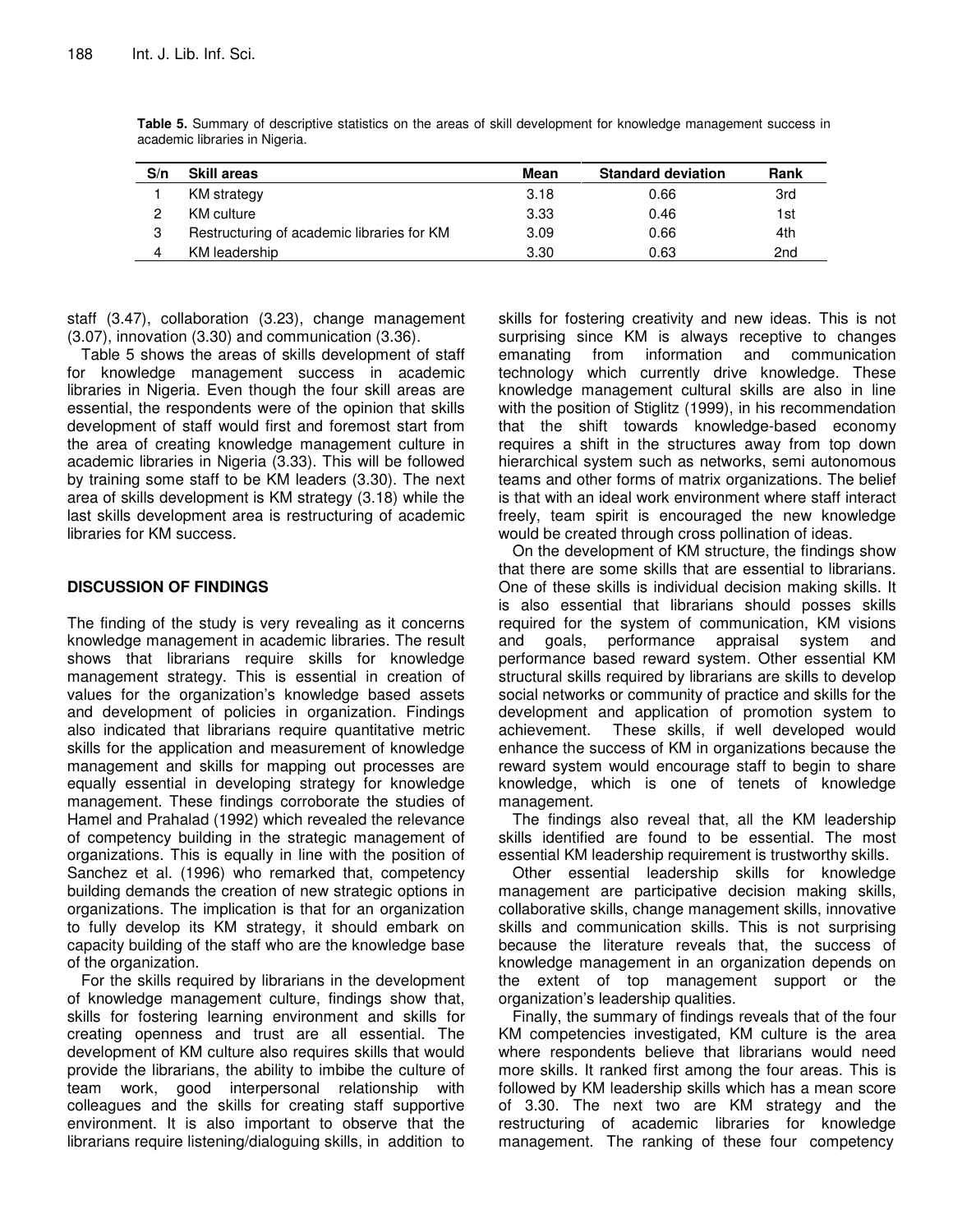| S/n | <b>Skill areas</b>                         | Mean | <b>Standard deviation</b> | Rank            |
|-----|--------------------------------------------|------|---------------------------|-----------------|
|     | KM strategy                                | 3.18 | 0.66                      | 3rd             |
|     | KM culture                                 | 3.33 | 0.46                      | 1st             |
| 3   | Restructuring of academic libraries for KM | 3.09 | 0.66                      | 4th             |
|     | KM leadership                              | 3.30 | 0.63                      | 2 <sub>nd</sub> |

**Table 5.** Summary of descriptive statistics on the areas of skill development for knowledge management success in academic libraries in Nigeria.

staff (3.47), collaboration (3.23), change management (3.07), innovation (3.30) and communication (3.36).

Table 5 shows the areas of skills development of staff for knowledge management success in academic libraries in Nigeria. Even though the four skill areas are essential, the respondents were of the opinion that skills development of staff would first and foremost start from the area of creating knowledge management culture in academic libraries in Nigeria (3.33). This will be followed by training some staff to be KM leaders (3.30). The next area of skills development is KM strategy (3.18) while the last skills development area is restructuring of academic libraries for KM success.

## **DISCUSSION OF FINDINGS**

The finding of the study is very revealing as it concerns knowledge management in academic libraries. The result shows that librarians require skills for knowledge management strategy. This is essential in creation of values for the organization's knowledge based assets and development of policies in organization. Findings also indicated that librarians require quantitative metric skills for the application and measurement of knowledge management and skills for mapping out processes are equally essential in developing strategy for knowledge management. These findings corroborate the studies of Hamel and Prahalad (1992) which revealed the relevance of competency building in the strategic management of organizations. This is equally in line with the position of Sanchez et al. (1996) who remarked that, competency building demands the creation of new strategic options in organizations. The implication is that for an organization to fully develop its KM strategy, it should embark on capacity building of the staff who are the knowledge base of the organization.

For the skills required by librarians in the development of knowledge management culture, findings show that, skills for fostering learning environment and skills for creating openness and trust are all essential. The development of KM culture also requires skills that would provide the librarians, the ability to imbibe the culture of team work, good interpersonal relationship with colleagues and the skills for creating staff supportive environment. It is also important to observe that the librarians require listening/dialoguing skills, in addition to

skills for fostering creativity and new ideas. This is not surprising since KM is always receptive to changes emanating from information and communication technology which currently drive knowledge. These knowledge management cultural skills are also in line with the position of Stiglitz (1999), in his recommendation that the shift towards knowledge-based economy requires a shift in the structures away from top down hierarchical system such as networks, semi autonomous teams and other forms of matrix organizations. The belief is that with an ideal work environment where staff interact freely, team spirit is encouraged the new knowledge would be created through cross pollination of ideas.

On the development of KM structure, the findings show that there are some skills that are essential to librarians. One of these skills is individual decision making skills. It is also essential that librarians should posses skills required for the system of communication, KM visions and goals, performance appraisal system and performance based reward system. Other essential KM structural skills required by librarians are skills to develop social networks or community of practice and skills for the development and application of promotion system to achievement. These skills, if well developed would enhance the success of KM in organizations because the reward system would encourage staff to begin to share knowledge, which is one of tenets of knowledge management.

The findings also reveal that, all the KM leadership skills identified are found to be essential. The most essential KM leadership requirement is trustworthy skills.

Other essential leadership skills for knowledge management are participative decision making skills, collaborative skills, change management skills, innovative skills and communication skills. This is not surprising because the literature reveals that, the success of knowledge management in an organization depends on the extent of top management support or the organization's leadership qualities.

Finally, the summary of findings reveals that of the four KM competencies investigated, KM culture is the area where respondents believe that librarians would need more skills. It ranked first among the four areas. This is followed by KM leadership skills which has a mean score of 3.30. The next two are KM strategy and the restructuring of academic libraries for knowledge management. The ranking of these four competency